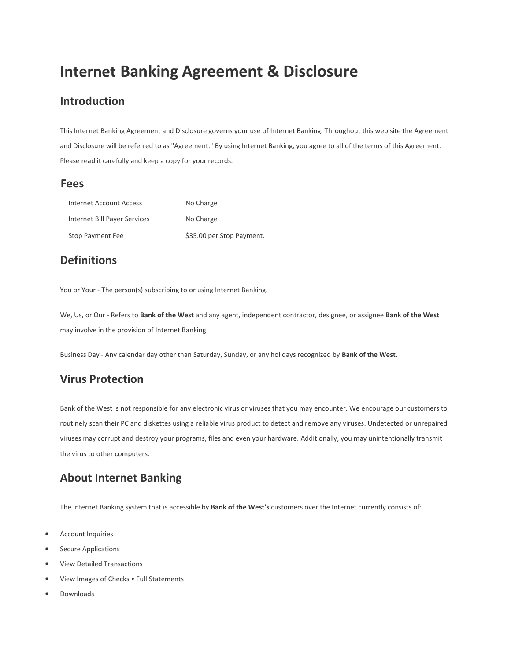# Internet Banking Agreement & Disclosure

#### Introduction

This Internet Banking Agreement and Disclosure governs your use of Internet Banking. Throughout this web site the Agreement and Disclosure will be referred to as "Agreement." By using Internet Banking, you agree to all of the terms of this Agreement. Please read it carefully and keep a copy for your records.

#### Fees

| Internet Account Access      | No Charge                 |
|------------------------------|---------------------------|
| Internet Bill Payer Services | No Charge                 |
| Stop Payment Fee             | \$35.00 per Stop Payment. |

# **Definitions**

You or Your - The person(s) subscribing to or using Internet Banking.

We, Us, or Our - Refers to Bank of the West and any agent, independent contractor, designee, or assignee Bank of the West may involve in the provision of Internet Banking.

Business Day - Any calendar day other than Saturday, Sunday, or any holidays recognized by Bank of the West.

# Virus Protection

Bank of the West is not responsible for any electronic virus or viruses that you may encounter. We encourage our customers to routinely scan their PC and diskettes using a reliable virus product to detect and remove any viruses. Undetected or unrepaired viruses may corrupt and destroy your programs, files and even your hardware. Additionally, you may unintentionally transmit the virus to other computers.

# About Internet Banking

The Internet Banking system that is accessible by Bank of the West's customers over the Internet currently consists of:

- Account Inquiries
- Secure Applications
- View Detailed Transactions
- View Images of Checks Full Statements
- Downloads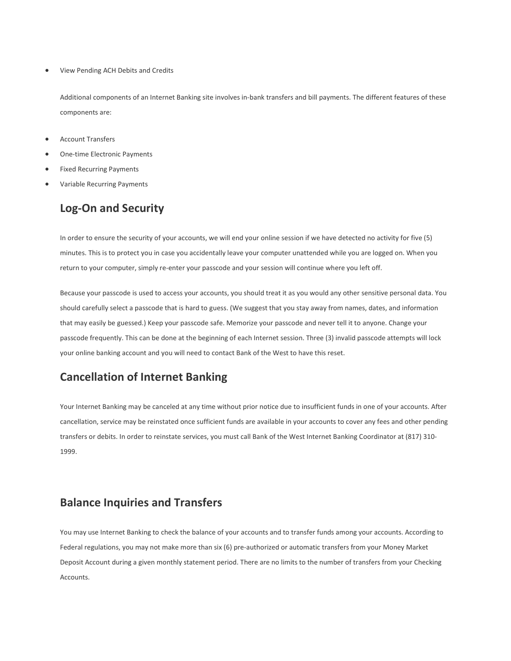View Pending ACH Debits and Credits

Additional components of an Internet Banking site involves in-bank transfers and bill payments. The different features of these components are:

- Account Transfers
- One-time Electronic Payments
- Fixed Recurring Payments
- Variable Recurring Payments

# Log-On and Security

In order to ensure the security of your accounts, we will end your online session if we have detected no activity for five (5) minutes. This is to protect you in case you accidentally leave your computer unattended while you are logged on. When you return to your computer, simply re-enter your passcode and your session will continue where you left off.

Because your passcode is used to access your accounts, you should treat it as you would any other sensitive personal data. You should carefully select a passcode that is hard to guess. (We suggest that you stay away from names, dates, and information that may easily be guessed.) Keep your passcode safe. Memorize your passcode and never tell it to anyone. Change your passcode frequently. This can be done at the beginning of each Internet session. Three (3) invalid passcode attempts will lock your online banking account and you will need to contact Bank of the West to have this reset.

# Cancellation of Internet Banking

Your Internet Banking may be canceled at any time without prior notice due to insufficient funds in one of your accounts. After cancellation, service may be reinstated once sufficient funds are available in your accounts to cover any fees and other pending transfers or debits. In order to reinstate services, you must call Bank of the West Internet Banking Coordinator at (817) 310- 1999.

#### Balance Inquiries and Transfers

You may use Internet Banking to check the balance of your accounts and to transfer funds among your accounts. According to Federal regulations, you may not make more than six (6) pre-authorized or automatic transfers from your Money Market Deposit Account during a given monthly statement period. There are no limits to the number of transfers from your Checking Accounts.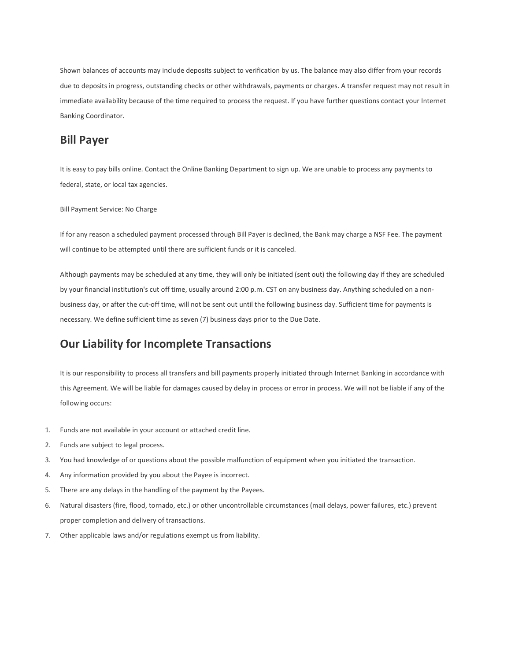Shown balances of accounts may include deposits subject to verification by us. The balance may also differ from your records due to deposits in progress, outstanding checks or other withdrawals, payments or charges. A transfer request may not result in immediate availability because of the time required to process the request. If you have further questions contact your Internet Banking Coordinator.

#### Bill Payer

It is easy to pay bills online. Contact the Online Banking Department to sign up. We are unable to process any payments to federal, state, or local tax agencies.

Bill Payment Service: No Charge

If for any reason a scheduled payment processed through Bill Payer is declined, the Bank may charge a NSF Fee. The payment will continue to be attempted until there are sufficient funds or it is canceled.

Although payments may be scheduled at any time, they will only be initiated (sent out) the following day if they are scheduled by your financial institution's cut off time, usually around 2:00 p.m. CST on any business day. Anything scheduled on a nonbusiness day, or after the cut-off time, will not be sent out until the following business day. Sufficient time for payments is necessary. We define sufficient time as seven (7) business days prior to the Due Date.

# Our Liability for Incomplete Transactions

It is our responsibility to process all transfers and bill payments properly initiated through Internet Banking in accordance with this Agreement. We will be liable for damages caused by delay in process or error in process. We will not be liable if any of the following occurs:

- 1. Funds are not available in your account or attached credit line.
- 2. Funds are subject to legal process.
- 3. You had knowledge of or questions about the possible malfunction of equipment when you initiated the transaction.
- 4. Any information provided by you about the Payee is incorrect.
- 5. There are any delays in the handling of the payment by the Payees.
- 6. Natural disasters (fire, flood, tornado, etc.) or other uncontrollable circumstances (mail delays, power failures, etc.) prevent proper completion and delivery of transactions.
- 7. Other applicable laws and/or regulations exempt us from liability.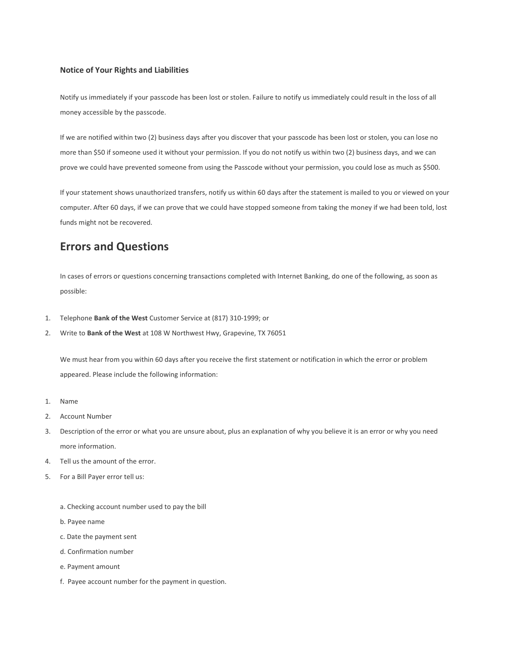#### Notice of Your Rights and Liabilities

Notify us immediately if your passcode has been lost or stolen. Failure to notify us immediately could result in the loss of all money accessible by the passcode.

If we are notified within two (2) business days after you discover that your passcode has been lost or stolen, you can lose no more than \$50 if someone used it without your permission. If you do not notify us within two (2) business days, and we can prove we could have prevented someone from using the Passcode without your permission, you could lose as much as \$500.

If your statement shows unauthorized transfers, notify us within 60 days after the statement is mailed to you or viewed on your computer. After 60 days, if we can prove that we could have stopped someone from taking the money if we had been told, lost funds might not be recovered.

#### Errors and Questions

In cases of errors or questions concerning transactions completed with Internet Banking, do one of the following, as soon as possible:

- 1. Telephone Bank of the West Customer Service at (817) 310-1999; or
- 2. Write to Bank of the West at 108 W Northwest Hwy, Grapevine, TX 76051

We must hear from you within 60 days after you receive the first statement or notification in which the error or problem appeared. Please include the following information:

- 1. Name
- 2. Account Number
- 3. Description of the error or what you are unsure about, plus an explanation of why you believe it is an error or why you need more information.
- 4. Tell us the amount of the error.
- 5. For a Bill Payer error tell us:
	- a. Checking account number used to pay the bill
	- b. Payee name
	- c. Date the payment sent
	- d. Confirmation number
	- e. Payment amount
	- f. Payee account number for the payment in question.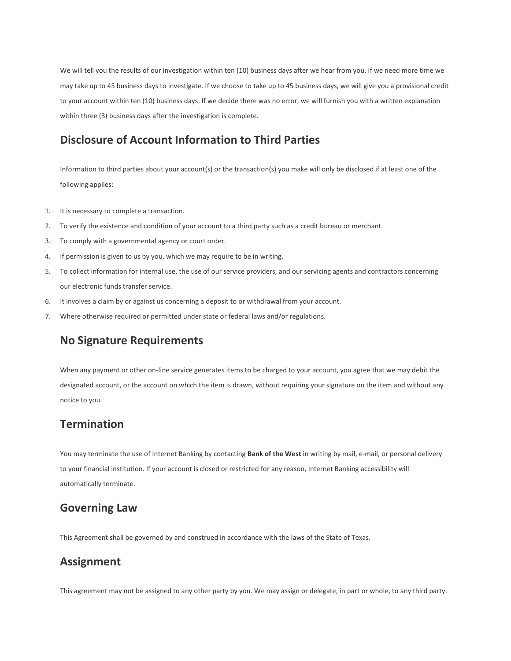We will tell you the results of our investigation within ten (10) business days after we hear from you. If we need more time we may take up to 45 business days to investigate. If we choose to take up to 45 business days, we will give you a provisional credit to your account within ten (10) business days. If we decide there was no error, we will furnish you with a written explanation within three (3) business days after the investigation is complete.

#### Disclosure of Account Information to Third Parties

Information to third parties about your account(s) or the transaction(s) you make will only be disclosed if at least one of the following applies:

- 1. It is necessary to complete a transaction.
- 2. To verify the existence and condition of your account to a third party such as a credit bureau or merchant.
- 3. To comply with a governmental agency or court order.
- 4. If permission is given to us by you, which we may require to be in writing.
- 5. To collect information for internal use, the use of our service providers, and our servicing agents and contractors concerning our electronic funds transfer service.
- 6. It involves a claim by or against us concerning a deposit to or withdrawal from your account.
- 7. Where otherwise required or permitted under state or federal laws and/or regulations.

### No Signature Requirements

When any payment or other on-line service generates items to be charged to your account, you agree that we may debit the designated account, or the account on which the item is drawn, without requiring your signature on the item and without any notice to you.

#### **Termination**

You may terminate the use of Internet Banking by contacting Bank of the West in writing by mail, e-mail, or personal delivery to your financial institution. If your account is closed or restricted for any reason, Internet Banking accessibility will automatically terminate.

#### Governing Law

This Agreement shall be governed by and construed in accordance with the laws of the State of Texas.

# Assignment

This agreement may not be assigned to any other party by you. We may assign or delegate, in part or whole, to any third party.